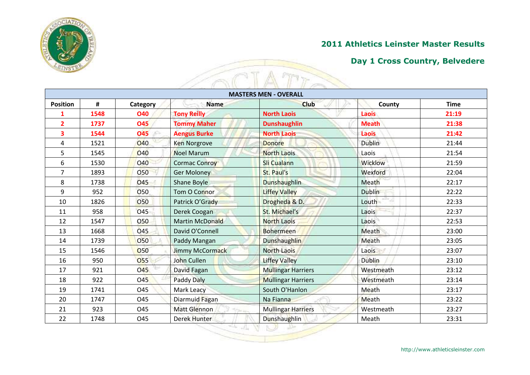

| <b>CINSTER</b>  |      |                 |                      |                              |                |             |
|-----------------|------|-----------------|----------------------|------------------------------|----------------|-------------|
|                 |      |                 |                      | <b>MASTERS MEN - OVERALL</b> |                |             |
| <b>Position</b> | #    | <b>Category</b> | <b>Name</b>          | <b>Club</b>                  | County         | <b>Time</b> |
| 1               | 1548 | <b>O40</b>      | <b>Tony Reilly</b>   | <b>North Laois</b>           | Laois          | 21:19       |
| $\overline{2}$  | 1737 | <b>O45</b>      | <b>Tommy Maher</b>   | <b>Dunshaughlin</b>          | <b>Meath</b>   | 21:38       |
| 3               | 1544 | 045             | <b>Aengus Burke</b>  | <b>North Laois</b>           | Laois          | 21:42       |
| 4               | 1521 | <b>040</b>      | <b>Ken Norgrove</b>  | <b>Donore</b>                | <b>Dublin</b>  | 21:44       |
| 5               | 1545 | <b>040</b>      | <b>Noel Marum</b>    | <b>North Laois</b>           | Laois          | 21:54       |
| 6               | 1530 | <b>O40</b>      | <b>Cormac Conroy</b> | Sli Cualann                  | <b>Wicklow</b> | 21:59       |
| $\overline{7}$  | 1893 | <b>O50</b>      | <b>Ger Moloney</b>   | St. Paul's                   | Wexford        | 22:04       |
| 8               | 1738 | <b>045</b>      | Shane Boyle          | <b>Dunshaughlin</b>          | Meath          | 22:17       |
| 9               | 952  | O <sub>50</sub> | <b>Tom O Connor</b>  | <b>Liffey Valley</b>         | <b>Dublin</b>  | 22:22       |
| 10              | 1826 | <b>O50</b>      | Patrick O'Grady      | Drogheda & D.                | Louth          | 22:33       |
| 11              | 958  | 045             | Derek Coogan         | St. Michael's                | Laois          | 22:37       |
| 12              | 1547 | 050             | Martin McDonald      | <b>North Laois</b>           | Laois          | 22:53       |
| 13              | 1668 | <b>045</b>      | David O'Connell      | <b>Bohermeen</b>             | Meath          | 23:00       |
| 14              | 1739 | <b>O50</b>      | Paddy Mangan         | Dunshaughlin                 | Meath          | 23:05       |
| 15              | 1546 | <b>O50</b>      | Jimmy McCormack      | <b>North Laois</b>           | Laois          | 23:07       |
| 16              | 950  | <b>O55</b>      | John Cullen          | <b>Liffey Valley</b>         | <b>Dublin</b>  | 23:10       |
| 17              | 921  | <b>O45</b>      | David Fagan          | <b>Mullingar Harriers</b>    | Westmeath      | 23:12       |
| 18              | 922  | O <sub>45</sub> | Paddy Daly           | <b>Mullingar Harriers</b>    | Westmeath      | 23:14       |
| 19              | 1741 | <b>045</b>      | <b>Mark Leacy</b>    | South O'Hanlon               | Meath          | 23:17       |
| 20              | 1747 | O45             | Diarmuid Fagan       | Na Fianna                    | Meath          | 23:22       |
| 21              | 923  | O45             | <b>Matt Glennon</b>  | <b>Mullingar Harriers</b>    | Westmeath      | 23:27       |
| 22              | 1748 | O45             | <b>Derek Hunter</b>  | Dunshaughlin                 | Meath          | 23:31       |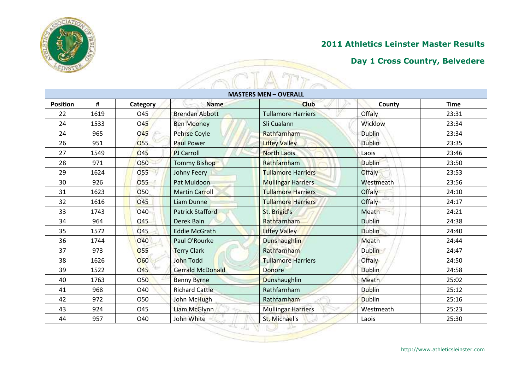

| <b>STURTE</b>   |      |                  |                         |                              |               |             |
|-----------------|------|------------------|-------------------------|------------------------------|---------------|-------------|
|                 |      |                  |                         | <b>MASTERS MEN - OVERALL</b> |               |             |
| <b>Position</b> | #    | Category         | <b>Name</b>             | <b>Club</b>                  | County        | <b>Time</b> |
| 22              | 1619 | O45              | <b>Brendan Abbott</b>   | <b>Tullamore Harriers</b>    | Offaly        | 23:31       |
| 24              | 1533 | <b>O45</b>       | <b>Ben Mooney</b>       | Sli Cualann                  | Wicklow       | 23:34       |
| 24              | 965  | <b>O45</b><br>x. | <b>Pehrse Coyle</b>     | Rathfarnham                  | <b>Dublin</b> | 23:34       |
| 26              | 951  | 055              | <b>Paul Power</b>       | <b>Liffey Valley</b>         | <b>Dublin</b> | 23:35       |
| 27              | 1549 | <b>O45</b>       | <b>PJ Carroll</b>       | <b>North Laois</b>           | Laois         | 23:46       |
| 28              | 971  | <b>O50</b>       | <b>Tommy Bishop</b>     | Rathfarnham                  | <b>Dublin</b> | 23:50       |
| 29              | 1624 | 055              | Johny Feery             | <b>Tullamore Harriers</b>    | <b>Offaly</b> | 23:53       |
| 30              | 926  | 055              | Pat Muldoon             | <b>Mullingar Harriers</b>    | Westmeath     | 23:56       |
| 31              | 1623 | <b>O50</b>       | <b>Martin Carroll</b>   | <b>Tullamore Harriers</b>    | Offaly        | 24:10       |
| 32              | 1616 | <b>O45</b>       | Liam Dunne              | <b>Tullamore Harriers</b>    | Offaly        | 24:17       |
| 33              | 1743 | O40              | <b>Patrick Stafford</b> | St. Brigid's                 | Meath         | 24:21       |
| 34              | 964  | O45              | Derek Bain              | Rathfarnham                  | <b>Dublin</b> | 24:38       |
| 35              | 1572 | O <sub>45</sub>  | <b>Eddie McGrath</b>    | <b>Liffey Valley</b>         | <b>Dublin</b> | 24:40       |
| 36              | 1744 | <b>040</b>       | Paul O'Rourke           | <b>Dunshaughlin</b>          | Meath         | 24:44       |
| 37              | 973  | <b>O55</b>       | <b>Terry Clark</b>      | Rathfarnham                  | <b>Dublin</b> | 24:47       |
| 38              | 1626 | <b>O60</b>       | John Todd               | <b>Tullamore Harriers</b>    | <b>Offaly</b> | 24:50       |
| 39              | 1522 | <b>O45</b>       | <b>Gerrald McDonald</b> | Donore                       | <b>Dublin</b> | 24:58       |
| 40              | 1763 | 050              | <b>Benny Byrne</b>      | <b>Dunshaughlin</b>          | <b>Meath</b>  | 25:02       |
| 41              | 968  | O40              | <b>Richard Cattle</b>   | Rathfarnham                  | <b>Dublin</b> | 25:12       |
| 42              | 972  | 050              | John McHugh             | Rathfarnham                  | <b>Dublin</b> | 25:16       |
| 43              | 924  | O45              | Liam McGlynn            | <b>Mullingar Harriers</b>    | Westmeath     | 25:23       |
| 44              | 957  | O40              | John White              | St. Michael's                | Laois         | 25:30       |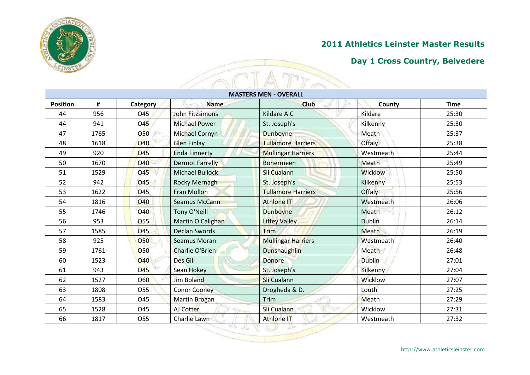

| <b>SUNSTRA</b>  |      |                  |                        |                              |               |             |
|-----------------|------|------------------|------------------------|------------------------------|---------------|-------------|
|                 |      |                  |                        | <b>MASTERS MEN - OVERALL</b> |               |             |
| <b>Position</b> | #    | Category         | <b>Name</b>            | <b>Club</b>                  | County        | <b>Time</b> |
| 44              | 956  | O45              | <b>John Fitzsimons</b> | Kildare A.C                  | Kildare       | 25:30       |
| 44              | 941  | <b>045</b>       | <b>Michael Power</b>   | St. Joseph's                 | Kilkenny      | 25:30       |
| 47              | 1765 | 050<br><b>SG</b> | Michael Cornyn         | Dunboyne                     | Meath         | 25:37       |
| 48              | 1618 | <b>040</b>       | <b>Glen Finlay</b>     | <b>Tullamore Harriers</b>    | Offaly        | 25:38       |
| 49              | 920  | <b>O45</b>       | <b>Enda Finnerty</b>   | <b>Mullingar Harriers</b>    | Westmeath     | 25:44       |
| 50              | 1670 | 040              | <b>Dermot Farrelly</b> | <b>Bohermeen</b>             | Meath         | 25:49       |
| 51              | 1529 | <b>O45</b>       | <b>Michael Bullock</b> | <b>Sli Cualann</b>           | Wicklow       | 25:50       |
| 52              | 942  | O <sub>45</sub>  | <b>Rocky Mernagh</b>   | St. Joseph's                 | Kilkenny      | 25:53       |
| 53              | 1622 | O45              | <b>Fran Mollon</b>     | <b>Tullamore Harriers</b>    | Offaly        | 25:56       |
| 54              | 1816 | <b>O40</b>       | <b>Seamus McCann</b>   | <b>Athlone IT</b>            | Westmeath     | 26:06       |
| 55              | 1746 | O40              | Tony O'Neill           | <b>Dunboyne</b>              | Meath         | 26:12       |
| 56              | 953  | 055              | Martin O Callghan      | <b>Liffey Valley</b>         | <b>Dublin</b> | 26:14       |
| 57              | 1585 | 045              | <b>Declan Swords</b>   | Trim                         | Meath         | 26:19       |
| 58              | 925  | <b>O50</b>       | <b>Seamus Moran</b>    | <b>Mullingar Harriers</b>    | Westmeath     | 26:40       |
| 59              | 1761 | <b>O50</b>       | Charlie O'Brien        | <b>Dunshaughlin</b>          | Meath         | 26:48       |
| 60              | 1523 | <b>O40</b>       | Des Gill               | Donore                       | <b>Dublin</b> | 27:01       |
| 61              | 943  | <b>O45</b>       | Sean Hokey             | St. Joseph's                 | Kilkenny      | 27:04       |
| 62              | 1527 | <b>O60</b>       | <b>Jim Boland</b>      | <b>Sli Cualann</b>           | Wicklow       | 27:07       |
| 63              | 1808 | 055              | <b>Conor Cooney</b>    | Drogheda & D.                | Louth         | 27:25       |
| 64              | 1583 | O45              | Martin Brogan          | Trim                         | Meath         | 27:29       |
| 65              | 1528 | O45              | AJ Cotter              | Sli Cualann                  | Wicklow       | 27:31       |
| 66              | 1817 | 055              | Charlie Lawn           | <b>Athlone IT</b>            | Westmeath     | 27:32       |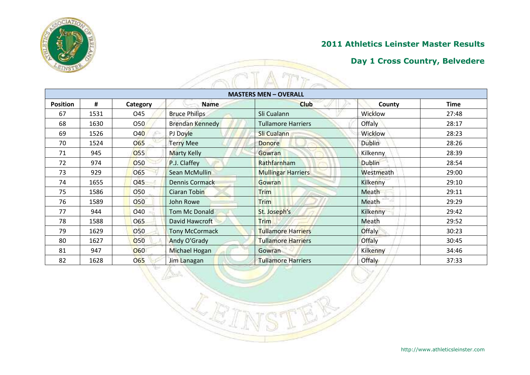

| <b>STIART ROOM</b> |      |            |                        |                              |                 |             |
|--------------------|------|------------|------------------------|------------------------------|-----------------|-------------|
|                    |      |            |                        | <b>MASTERS MEN - OVERALL</b> |                 |             |
| <b>Position</b>    | #    | Category   | <b>Name</b>            | <b>Club</b>                  | County          | <b>Time</b> |
| 67                 | 1531 | O45        | <b>Bruce Philips</b>   | Sli Cualann                  | Wicklow         | 27:48       |
| 68                 | 1630 | O50        | <b>Brendan Kennedy</b> | <b>Tullamore Harriers</b>    | Offaly          | 28:17       |
| 69                 | 1526 | 040        | PJ Doyle               | Sli Cualann                  | Wicklow         | 28:23       |
| 70                 | 1524 | <b>O65</b> | <b>Terry Mee</b>       | <b>Donore</b>                | <b>Dublin</b>   | 28:26       |
| 71                 | 945  | <b>O55</b> | <b>Marty Kelly</b>     | Gowran                       | Kilkenny        | 28:39       |
| 72                 | 974  | <b>O50</b> | P.J. Claffey           | Rathfarnham                  | <b>Dublin</b>   | 28:54       |
| 73                 | 929  | O65        | Sean McMullin          | <b>Mullingar Harriers</b>    | Westmeath       | 29:00       |
| 74                 | 1655 | <b>O45</b> | <b>Dennis Cormack</b>  | Gowran                       | Kilkenny        | 29:10       |
| 75                 | 1586 | <b>O50</b> | <b>Ciaran Tobin</b>    | Trim                         | Meath           | 29:11       |
| 76                 | 1589 | 050        | John Rowe              | Trim                         | Meath           | 29:29       |
| 77                 | 944  | O40        | Tom Mc Donald          | St. Joseph's                 | <b>Kilkenny</b> | 29:42       |
| 78                 | 1588 | O65        | David Hawcroft         | <b>Trim</b>                  | Meath           | 29:52       |
| 79                 | 1629 | <b>O50</b> | <b>Tony McCormack</b>  | <b>Tullamore Harriers</b>    | Offaly          | 30:23       |
| 80                 | 1627 | <b>O50</b> | Andy O'Grady           | <b>Tullamore Harriers</b>    | Offaly          | 30:45       |
| 81                 | 947  | <b>O60</b> | Michael Hogan          | Gowran                       | Kilkenny        | 34:46       |
| 82                 | 1628 | 065        | Jim Lanagan            | <b>Tullamore Harriers</b>    | <b>Offaly</b>   | 37:33       |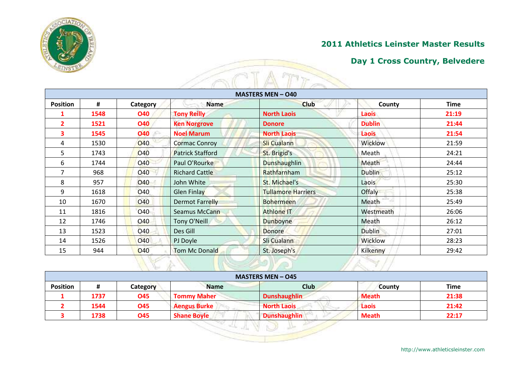

| <b>MASTERS MEN - 040</b> |      |                  |                         |                           |               |             |  |
|--------------------------|------|------------------|-------------------------|---------------------------|---------------|-------------|--|
| <b>Position</b>          | #    | Category         | <b>Name</b>             | <b>Club</b>               | County        | <b>Time</b> |  |
| 1                        | 1548 | <b>O40</b>       | <b>Tony Reilly</b>      | <b>North Laois</b>        | <b>Laois</b>  | 21:19       |  |
| $\overline{2}$           | 1521 | <b>O40</b>       | <b>Ken Norgrove</b>     | <b>Donore</b>             | <b>Dublin</b> | 21:44       |  |
| 3                        | 1545 | <b>O40</b><br>x. | <b>Noel Marum</b>       | <b>North Laois</b>        | Laois         | 21:54       |  |
| 4                        | 1530 | <b>O40</b>       | <b>Cormac Conroy</b>    | <b>Sli Cualann</b>        | Wicklow       | 21:59       |  |
| 5.                       | 1743 | <b>O40</b>       | <b>Patrick Stafford</b> | St. Brigid's              | Meath         | 24:21       |  |
| 6                        | 1744 | <b>O40</b>       | Paul O'Rourke           | <b>Dunshaughlin</b>       | Meath         | 24:44       |  |
| 7                        | 968  | <b>O40</b>       | <b>Richard Cattle</b>   | Rathfarnham               | <b>Dublin</b> | 25:12       |  |
| 8                        | 957  | 040              | John White              | St. Michael's             | Laois         | 25:30       |  |
| 9                        | 1618 | O40              | <b>Glen Finlay</b>      | <b>Tullamore Harriers</b> | Offaly        | 25:38       |  |
| 10                       | 1670 | <b>O40</b>       | <b>Dermot Farrelly</b>  | <b>Bohermeen</b>          | Meath         | 25:49       |  |
| 11                       | 1816 | 040              | Seamus McCann           | <b>Athlone IT</b>         | Westmeath     | 26:06       |  |
| 12                       | 1746 | O40              | Tony O'Neill            | Dunboyne                  | Meath         | 26:12       |  |
| 13                       | 1523 | <b>O40</b>       | Des Gill                | <b>Donore</b>             | <b>Dublin</b> | 27:01       |  |
| 14                       | 1526 | <b>O40</b>       | PJ Doyle                | Sli Cualann               | Wicklow       | 28:23       |  |
| 15                       | 944  | O40              | <b>Tom Mc Donald</b>    | St. Joseph's              | Kilkenny      | 29:42       |  |

|                 | <b>MASTERS MEN - 045</b> |            |                     |                     |              |             |  |
|-----------------|--------------------------|------------|---------------------|---------------------|--------------|-------------|--|
| <b>Position</b> |                          | Category   | <b>Name</b>         | <b>Club</b>         | County       | <b>Time</b> |  |
|                 | 1737                     | <b>O45</b> | <b>Tommy Maher</b>  | <b>Dunshaughlin</b> | <b>Meath</b> | 21:38       |  |
|                 | 1544                     | <b>O45</b> | <b>Aengus Burke</b> | <b>North Laois</b>  | Laois        | 21:42       |  |
|                 | 1738                     | <b>O45</b> | <b>Shane Boyle</b>  | <b>Dunshaughlin</b> | <b>Meath</b> | 22:17       |  |

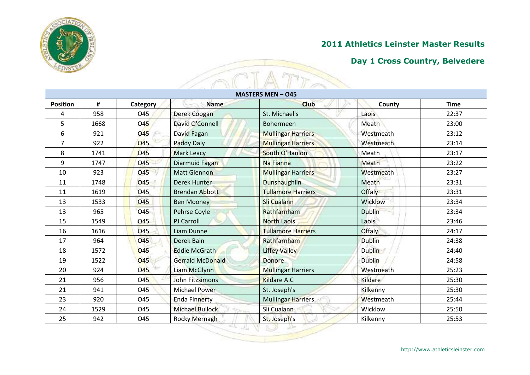

| <b>SANSTER</b>  |      |                  |                        |                           |                |             |
|-----------------|------|------------------|------------------------|---------------------------|----------------|-------------|
|                 |      |                  |                        | <b>MASTERS MEN - 045</b>  |                |             |
| <b>Position</b> | #    | Category         | <b>Name</b>            | <b>Club</b>               | County         | <b>Time</b> |
| 4               | 958  | O45              | Derek Coogan           | St. Michael's             | Laois          | 22:37       |
| 5               | 1668 | O45              | David O'Connell        | Bohermeen                 | Meath          | 23:00       |
| 6               | 921  | <b>O45</b><br>x. | David Fagan            | <b>Mullingar Harriers</b> | Westmeath      | 23:12       |
| $\overline{7}$  | 922  | <b>045</b>       | <b>Paddy Daly</b>      | <b>Mullingar Harriers</b> | Westmeath      | 23:14       |
| 8               | 1741 | <b>045</b>       | <b>Mark Leacy</b>      | South O'Hanlon            | Meath          | 23:17       |
| 9               | 1747 | <b>045</b>       | Diarmuid Fagan         | Na Fianna                 | Meath          | 23:22       |
| 10              | 923  | <b>045</b>       | <b>Matt Glennon</b>    | <b>Mullingar Harriers</b> | Westmeath      | 23:27       |
| 11              | 1748 | <b>O45</b>       | <b>Derek Hunter</b>    | <b>Dunshaughlin</b>       | Meath          | 23:31       |
| 11              | 1619 | <b>045</b>       | <b>Brendan Abbott</b>  | <b>Tullamore Harriers</b> | Offaly         | 23:31       |
| 13              | 1533 | <b>O45</b>       | <b>Ben Mooney</b>      | <b>Sli Cualann</b>        | <b>Wicklow</b> | 23:34       |
| 13              | 965  | O <sub>45</sub>  | Pehrse Coyle           | Rathfarnham               | <b>Dublin</b>  | 23:34       |
| 15              | 1549 | 045              | PJ Carroll             | <b>North Laois</b>        | Laois          | 23:46       |
| 16              | 1616 | <b>045</b>       | Liam Dunne             | <b>Tullamore Harriers</b> | Offaly         | 24:17       |
| 17              | 964  | <b>045</b>       | Derek Bain             | Rathfarnham               | <b>Dublin</b>  | 24:38       |
| 18              | 1572 | O45              | <b>Eddie McGrath</b>   | <b>Liffey Valley</b>      | <b>Dublin</b>  | 24:40       |
| 19              | 1522 | <b>045</b>       | Gerrald McDonald       | <b>Donore</b>             | <b>Dublin</b>  | 24:58       |
| 20              | 924  | <b>O45</b>       | Liam McGlynn           | <b>Mullingar Harriers</b> | Westmeath      | 25:23       |
| 21              | 956  | <b>045</b>       | <b>John Fitzsimons</b> | <b>Kildare A.C</b>        | Kildare        | 25:30       |
| 21              | 941  | O45              | <b>Michael Power</b>   | St. Joseph's              | Kilkenny       | 25:30       |
| 23              | 920  | <b>045</b>       | <b>Enda Finnerty</b>   | <b>Mullingar Harriers</b> | Westmeath      | 25:44       |
| 24              | 1529 | <b>045</b>       | <b>Michael Bullock</b> | Sli Cualann               | Wicklow        | 25:50       |
| 25              | 942  | O45              | Rocky Mernagh          | St. Joseph's              | Kilkenny       | 25:53       |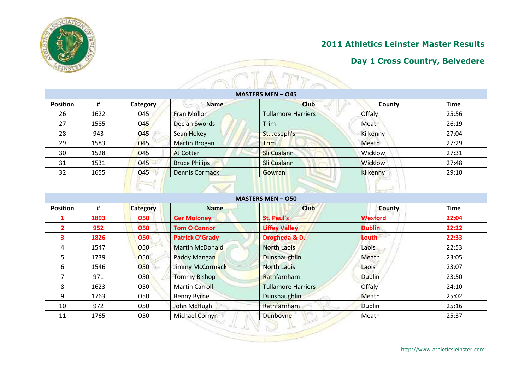

### **Day 1 Cross Country, Belvedere**

| <b>MASTERS MEN - 045</b> |      |                 |                      |                           |          |             |  |  |
|--------------------------|------|-----------------|----------------------|---------------------------|----------|-------------|--|--|
| <b>Position</b>          | #    | Category        | <b>Name</b>          | <b>Club</b>               | County   | <b>Time</b> |  |  |
| 26                       | 1622 | O45             | Fran Mollon          | <b>Tullamore Harriers</b> | Offaly   | 25:56       |  |  |
| 27                       | 1585 | O <sub>45</sub> | <b>Declan Swords</b> | Trim                      | Meath    | 26:19       |  |  |
| 28                       | 943  | 045             | Sean Hokey           | St. Joseph's              | Kilkenny | 27:04       |  |  |
| 29                       | 1583 | <b>O45</b>      | Martin Brogan        | Trim                      | Meath    | 27:29       |  |  |
| 30                       | 1528 | <b>O45</b>      | AJ Cotter            | <b>Sli Cualann</b>        | Wicklow  | 27:31       |  |  |
| 31                       | 1531 | <b>O45</b>      | <b>Bruce Philips</b> | Sli Cualann               | Wicklow  | 27:48       |  |  |
| 32                       | 1655 | O <sub>45</sub> | Dennis Cormack       | <b>Gowran</b>             | Kilkenny | 29:10       |  |  |

|                 |      |                 |                        | <b>MASTERS MEN - O50</b>  |                |             |
|-----------------|------|-----------------|------------------------|---------------------------|----------------|-------------|
| <b>Position</b> | #    | <b>Category</b> | <b>Name</b>            | <b>Club</b>               | <b>County</b>  | <b>Time</b> |
|                 | 1893 | 050             | <b>Ger Moloney</b>     | <b>St. Paul's</b>         | <b>Wexford</b> | 22:04       |
|                 | 952  | <b>O50</b>      | <b>Tom O Connor</b>    | <b>Liffey Valley</b>      | <b>Dublin</b>  | 22:22       |
| 3               | 1826 | 050             | <b>Patrick O'Grady</b> | Drogheda & D.             | Louth          | 22:33       |
| 4               | 1547 | O50             | <b>Martin McDonald</b> | <b>North Laois</b>        | Laois          | 22:53       |
| 5.              | 1739 | O <sub>50</sub> | Paddy Mangan           | <b>Dunshaughlin</b>       | Meath          | 23:05       |
| 6               | 1546 | 050             | Jimmy McCormack        | <b>North Laois</b>        | Laois          | 23:07       |
|                 | 971  | O <sub>50</sub> | <b>Tommy Bishop</b>    | Rathfarnham               | Dublin         | 23:50       |
| 8               | 1623 | O50             | <b>Martin Carroll</b>  | <b>Tullamore Harriers</b> | Offaly         | 24:10       |
| 9               | 1763 | O <sub>50</sub> | <b>Benny Byrne</b>     | <b>Dunshaughlin</b>       | Meath          | 25:02       |
| 10              | 972  | O <sub>50</sub> | John McHugh            | Rathfarnham               | <b>Dublin</b>  | 25:16       |
| 11              | 1765 | O <sub>50</sub> | Michael Cornyn         | Dunboyne                  | Meath          | 25:37       |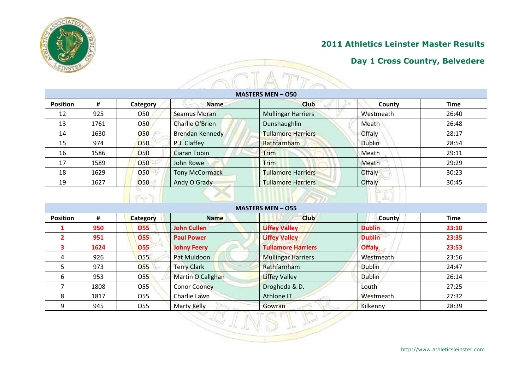

#### **Day 1 Cross Country, Belvedere**

| <b>MASTERS MEN - 050</b> |      |            |                        |                           |               |             |  |  |
|--------------------------|------|------------|------------------------|---------------------------|---------------|-------------|--|--|
| <b>Position</b>          | #    | Category   | <b>Name</b>            | <b>Club</b>               | County        | <b>Time</b> |  |  |
| 12                       | 925  | <b>O50</b> | <b>Seamus Moran</b>    | <b>Mullingar Harriers</b> | Westmeath     | 26:40       |  |  |
| 13                       | 1761 | <b>O50</b> | Charlie O'Brien        | Dunshaughlin              | Meath         | 26:48       |  |  |
| 14                       | 1630 | 050        | <b>Brendan Kennedy</b> | <b>Tullamore Harriers</b> | Offaly        | 28:17       |  |  |
| 15                       | 974  | <b>O50</b> | P.J. Claffey           | Rathfarnham               | <b>Dublin</b> | 28:54       |  |  |
| 16                       | 1586 | <b>O50</b> | Ciaran Tobin           | Trim                      | Meath         | 29:11       |  |  |
| 17                       | 1589 | <b>O50</b> | John Rowe              | <b>Trim</b>               | Meath         | 29:29       |  |  |
| 18                       | 1629 | 050        | <b>Tony McCormack</b>  | <b>Tullamore Harriers</b> | Offaly        | 30:23       |  |  |
| 19                       | 1627 | 050        | Andy O'Grady           | <b>Tullamore Harriers</b> | Offaly        | 30:45       |  |  |

| <b>Position</b> | #    | <b>Category</b> | <b>Name</b>         | <b>Club</b>               | County        | <b>Time</b> |
|-----------------|------|-----------------|---------------------|---------------------------|---------------|-------------|
|                 | 950  | <b>O55</b>      | <b>John Cullen</b>  | <b>Liffey Valley</b>      | <b>Dublin</b> | 23:10       |
|                 | 951  | 055             | <b>Paul Power</b>   | <b>Liffey Valley</b>      | <b>Dublin</b> | 23:35       |
| 3               | 1624 | 055             | <b>Johny Feery</b>  | <b>Tullamore Harriers</b> | <b>Offaly</b> | 23:53       |
| 4               | 926  | <b>O55</b>      | Pat Muldoon         | <b>Mullingar Harriers</b> | Westmeath     | 23:56       |
| 5.              | 973  | 055             | <b>Terry Clark</b>  | Rathfarnham               | Dublin        | 24:47       |
| 6               | 953  | <b>O55</b>      | Martin O Callghan   | <b>Liffey Valley</b>      | Dublin        | 26:14       |
|                 | 1808 | O <sub>55</sub> | <b>Conor Cooney</b> | Drogheda & D.             | Louth         | 27:25       |
| 8               | 1817 | O <sub>55</sub> | Charlie Lawn        | Athlone IT                | Westmeath     | 27:32       |
| 9               | 945  | O55             | Marty Kelly         | Gowran                    | Kilkenny      | 28:39       |

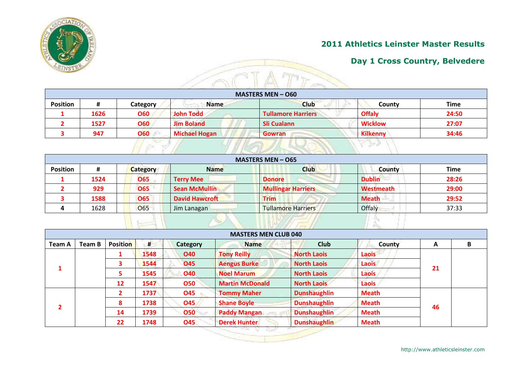

### **Day 1 Cross Country, Belvedere**

|                 |      |                  |                      | <b>MASTERS MEN - O60</b>  |                 |             |
|-----------------|------|------------------|----------------------|---------------------------|-----------------|-------------|
| <b>Position</b> | #    | Category         | <b>Name</b>          | <b>Club</b>               | County          | <b>Time</b> |
|                 | 1626 | <b>O60</b>       | John Todd            | <b>Tullamore Harriers</b> | <b>Offaly</b>   | 24:50       |
|                 | 1527 | <b>O60</b>       | <b>Jim Boland</b>    | Sli Cualann               | <b>Wicklow</b>  | 27:07       |
|                 | 947  | <b>O60</b><br>x. | <b>Michael Hogan</b> | <b>Gowran</b>             | <b>Kilkenny</b> | 34:46       |

|                 |      |                 |                       | <b>MASTERS MEN - 065</b>  |               |             |
|-----------------|------|-----------------|-----------------------|---------------------------|---------------|-------------|
| <b>Position</b> | #    | <b>Category</b> | <b>Name</b>           | <b>Club</b>               | <b>County</b> | <b>Time</b> |
|                 | 1524 | <b>O65</b>      | <b>Terry Mee</b>      | <b>Donore</b>             | <b>Dublin</b> | 28:26       |
|                 | 929  | <b>O65</b>      | <b>Sean McMullin</b>  | <b>Mullingar Harriers</b> | Westmeath     | 29:00       |
|                 | 1588 | <b>O65</b>      | <b>David Hawcroft</b> | <b>Trim</b>               | <b>Meath</b>  | 29:52       |
|                 | 1628 | <b>O65</b>      | Jim Lanagan           | <b>Tullamore Harriers</b> | Offaly        | 37:33       |

|               |        |                         |      |            | <b>MASTERS MEN CLUB 040</b> |                     |              |    |   |
|---------------|--------|-------------------------|------|------------|-----------------------------|---------------------|--------------|----|---|
| <b>Team A</b> | Team B | <b>Position</b>         | #    | Category   | <b>Name</b>                 | <b>Club</b>         | County       | A  | B |
|               |        |                         | 1548 | <b>O40</b> | <b>Tony Reilly</b>          | <b>North Laois</b>  | <b>Laois</b> |    |   |
|               |        | $\overline{\mathbf{3}}$ | 1544 | <b>O45</b> | <b>Aengus Burke</b>         | <b>North Laois</b>  | Laois        | 21 |   |
|               |        | 5                       | 1545 | <b>O40</b> | <b>Noel Marum</b>           | <b>North Laois</b>  | Laois        |    |   |
|               |        | 12                      | 1547 | <b>O50</b> | <b>Martin McDonald</b>      | <b>North Laois</b>  | Laois        |    |   |
|               |        |                         | 1737 | <b>O45</b> | <b>Tommy Maher</b>          | <b>Dunshaughlin</b> | <b>Meath</b> |    |   |
|               |        | 8                       | 1738 | O45        | <b>Shane Boyle</b>          | <b>Dunshaughlin</b> | <b>Meath</b> | 46 |   |
|               |        | 14                      | 1739 | <b>O50</b> | <b>Paddy Mangan</b>         | <b>Dunshaughlin</b> | <b>Meath</b> |    |   |
|               |        | 22                      | 1748 | <b>O45</b> | <b>Derek Hunter</b>         | <b>Dunshaughlin</b> | <b>Meath</b> |    |   |

http://www.athleticsleinster.com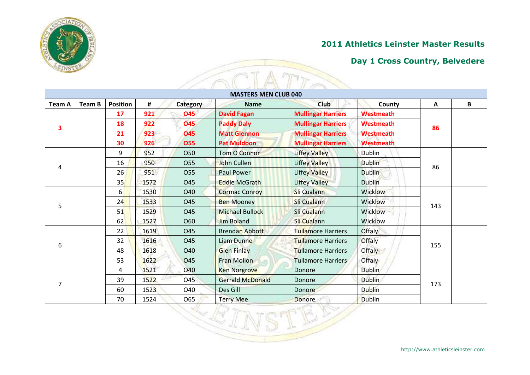

#### **Day 1 Cross Country, Belvedere**

| <b>Team A</b> | <b>Team B</b> | <b>Position</b> | #    | Category        | <b>MASTERS MEN CLUB 040</b><br><b>Name</b> | Club                      | County           | A   | B |
|---------------|---------------|-----------------|------|-----------------|--------------------------------------------|---------------------------|------------------|-----|---|
|               |               | 17              | 921  | <b>O45</b>      | <b>David Fagan</b>                         | <b>Mullingar Harriers</b> | <b>Westmeath</b> |     |   |
|               |               | 18              | 922  | <b>045</b>      | <b>Paddy Daly</b>                          | <b>Mullingar Harriers</b> | <b>Westmeath</b> | 86  |   |
| 3             |               | 21              | 923  | <b>O45</b>      | <b>Matt Glennon</b>                        | <b>Mullingar Harriers</b> | <b>Westmeath</b> |     |   |
|               |               | 30              | 926  | <b>O55</b>      | <b>Pat Muldoon</b>                         | <b>Mullingar Harriers</b> | <b>Westmeath</b> |     |   |
|               |               | 9               | 952  | <b>O50</b>      | Tom O Connor                               | <b>Liffey Valley</b>      | Dublin           |     |   |
|               |               | 16              | 950  | <b>O55</b>      | John Cullen                                | <b>Liffey Valley</b>      | <b>Dublin</b>    | 86  |   |
| 4             |               | 26              | 951  | 055             | <b>Paul Power</b>                          | <b>Liffey Valley</b>      | <b>Dublin</b>    |     |   |
|               |               | 35              | 1572 | O45             | <b>Eddie McGrath</b>                       | <b>Liffey Valley</b>      | <b>Dublin</b>    |     |   |
|               | 5             | 6               | 1530 | O40             | <b>Cormac Conroy</b>                       | <b>Sli Cualann</b>        | <b>Wicklow</b>   |     |   |
|               |               | 24              | 1533 | O45             | <b>Ben Mooney</b>                          | Sli Cualann               | Wicklow          | 143 |   |
|               |               | 51              | 1529 | O45             | <b>Michael Bullock</b>                     | Sli Cualann               | Wicklow          |     |   |
|               |               | 62              | 1527 | O60             | <b>Jim Boland</b>                          | Sli Cualann               | Wicklow          |     |   |
|               |               | 22              | 1619 | O45             | <b>Brendan Abbott</b>                      | <b>Tullamore Harriers</b> | Offaly           |     |   |
|               |               | 32              | 1616 | <b>045</b>      | Liam Dunne                                 | <b>Tullamore Harriers</b> | Offaly           | 155 |   |
|               | 6             | 48              | 1618 | O40             | <b>Glen Finlay</b>                         | <b>Tullamore Harriers</b> | <b>Offaly</b>    |     |   |
|               |               | 53              | 1622 | O45             | <b>Fran Mollon</b>                         | <b>Tullamore Harriers</b> | <b>Offaly</b>    |     |   |
|               |               | 4               | 1521 | <b>040</b>      | <b>Ken Norgrove</b>                        | Donore                    | <b>Dublin</b>    |     |   |
| 7             |               | 39              | 1522 | O <sub>45</sub> | <b>Gerrald McDonald</b>                    | Donore                    | <b>Dublin</b>    | 173 |   |
|               |               | 60              | 1523 | O40             | Des Gill                                   | <b>Donore</b>             | <b>Dublin</b>    |     |   |
|               |               | 70              | 1524 | O65             | <b>Terry Mee</b>                           | <b>Donore</b>             | <b>Dublin</b>    |     |   |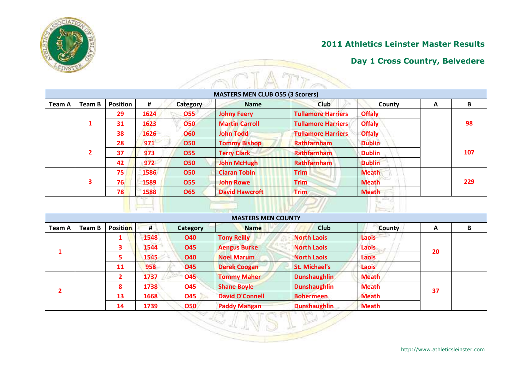

#### **Day 1 Cross Country, Belvedere**

|        |                |                 |      |            | <b>MASTERS MEN CLUB O55 (3 Scorers)</b> |                           |               |   |     |
|--------|----------------|-----------------|------|------------|-----------------------------------------|---------------------------|---------------|---|-----|
| Team A | Team B         | <b>Position</b> | #    | Category   | <b>Name</b>                             | <b>Club</b>               | County        | A | B   |
|        |                | 29              | 1624 | 055        | <b>Johny Feery</b>                      | <b>Tullamore Harriers</b> | <b>Offaly</b> |   |     |
|        | $\mathbf{1}$   | 31              | 1623 | <b>O50</b> | <b>Martin Carroll</b>                   | <b>Tullamore Harriers</b> | <b>Offaly</b> |   | 98  |
|        |                | 38              | 1626 | <b>O60</b> | <b>John Todd</b>                        | <b>Tullamore Harriers</b> | <b>Offaly</b> |   |     |
|        |                | 28              | 971  | <b>O50</b> | <b>Tommy Bishop</b>                     | <b>Rathfarnham</b>        | <b>Dublin</b> |   |     |
|        | $\overline{2}$ | 37              | 973  | <b>O55</b> | <b>Terry Clark</b>                      | <b>Rathfarnham</b>        | <b>Dublin</b> |   | 107 |
|        |                | 42              | 972  | <b>O50</b> | <b>John McHugh</b>                      | <b>Rathfarnham</b>        | <b>Dublin</b> |   |     |
|        |                | 75              | 1586 | <b>O50</b> | <b>Ciaran Tobin</b>                     | <b>Trim</b>               | <b>Meath</b>  |   |     |
|        | 3              | 76              | 1589 | <b>O55</b> | <b>John Rowe</b>                        | <b>Trim</b>               | <b>Meath</b>  |   | 229 |
|        |                | 78              | 1588 | <b>O65</b> | <b>David Hawcroft</b>                   | <b>Trim</b>               | <b>Meath</b>  |   |     |

|               |        |                         |      |            | <b>MASTERS MEN COUNTY</b> |                      |              |    |   |
|---------------|--------|-------------------------|------|------------|---------------------------|----------------------|--------------|----|---|
| <b>Team A</b> | Team B | Position                | #    | Category   | <b>Name</b>               | <b>Club</b>          | County       | A  | B |
|               |        | т                       | 1548 | <b>O40</b> | <b>Tony Reilly</b>        | <b>North Laois</b>   | Laois        |    |   |
|               |        | $\overline{\mathbf{3}}$ | 1544 | <b>O45</b> | <b>Aengus Burke</b>       | <b>North Laois</b>   | <b>Laois</b> | 20 |   |
|               |        | 5                       | 1545 | <b>O40</b> | <b>Noel Marum</b>         | <b>North Laois</b>   | Laois        |    |   |
|               |        | <b>11</b>               | 958  | <b>O45</b> | <b>Derek Coogan</b>       | <b>St. Michael's</b> | <b>Laois</b> |    |   |
|               |        | $\overline{2}$          | 1737 | <b>O45</b> | <b>Tommy Maher</b>        | <b>Dunshaughlin</b>  | <b>Meath</b> |    |   |
|               |        | 8                       | 1738 | <b>O45</b> | <b>Shane Boyle</b>        | <b>Dunshaughlin</b>  | <b>Meath</b> | 37 |   |
|               |        | 13                      | 1668 | <b>O45</b> | <b>David O'Connell</b>    | <b>Bohermeen</b>     | <b>Meath</b> |    |   |
|               |        | 14                      | 1739 | 050        | <b>Paddy Mangan</b>       | <b>Dunshaughlin</b>  | <b>Meath</b> |    |   |
|               |        |                         |      |            |                           |                      |              |    |   |
|               |        |                         |      |            |                           |                      |              |    |   |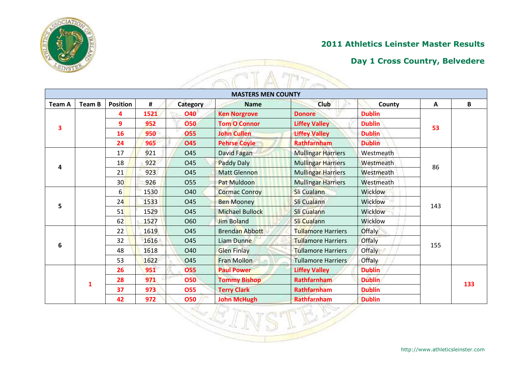

#### **Day 1 Cross Country, Belvedere**

| <b>Team A</b> | Team B | <b>Position</b> | #    | Category             | <b>MASTERS MEN COUNTY</b><br><b>Name</b> | Club                      | County           | A   | В   |
|---------------|--------|-----------------|------|----------------------|------------------------------------------|---------------------------|------------------|-----|-----|
|               |        | 4               | 1521 | <b>O40</b>           | <b>Ken Norgrove</b>                      | <b>Donore</b>             | <b>Dublin</b>    |     |     |
|               |        | 9               | 952  | 050                  | <b>Tom O Connor</b>                      | <b>Liffey Valley</b>      | <b>Dublin</b>    |     |     |
| 3             |        | 16              | 950  | <b>O55</b>           | <b>John Cullen</b>                       | <b>Liffey Valley</b>      | <b>Dublin</b>    | 53  |     |
|               |        | 24              | 965  | 045                  | <b>Pehrse Coyle</b>                      | <b>Rathfarnham</b>        | <b>Dublin</b>    |     |     |
|               |        | 17              | 921  | O45                  | David Fagan                              | <b>Mullingar Harriers</b> | Westmeath        |     |     |
|               |        | 18              | 922  | <b>O45</b>           | <b>Paddy Daly</b>                        | <b>Mullingar Harriers</b> | <b>Westmeath</b> |     |     |
| 4             |        | 21              | 923  | O45                  | <b>Matt Glennon</b>                      | <b>Mullingar Harriers</b> | Westmeath        | 86  |     |
|               |        | 30              | 926  | 055                  | Pat Muldoon                              | <b>Mullingar Harriers</b> | Westmeath        |     |     |
| 5             | 6      | 1530            | O40  | <b>Cormac Conroy</b> | <b>Sli Cualann</b>                       | <b>Wicklow</b>            |                  |     |     |
|               |        | 24              | 1533 | <b>O45</b>           | <b>Ben Mooney</b>                        | Sli Cualann               | Wicklow          | 143 |     |
|               |        | 51              | 1529 | O45                  | <b>Michael Bullock</b>                   | Sli Cualann               | Wicklow          |     |     |
|               |        | 62              | 1527 | O60                  | <b>Jim Boland</b>                        | Sli Cualann               | Wicklow          |     |     |
|               |        | 22              | 1619 | O45                  | <b>Brendan Abbott</b>                    | <b>Tullamore Harriers</b> | Offaly           |     |     |
|               |        | 32              | 1616 | O45                  | Liam Dunne                               | <b>Tullamore Harriers</b> | Offaly           | 155 |     |
| 6             |        | 48              | 1618 | <b>040</b>           | <b>Glen Finlay</b>                       | <b>Tullamore Harriers</b> | Offaly           |     |     |
|               |        | 53              | 1622 | <b>O45</b>           | <b>Fran Mollon</b>                       | <b>Tullamore Harriers</b> | <b>Offaly</b>    |     |     |
|               |        | 26              | 951  | 055                  | <b>Paul Power</b>                        | <b>Liffey Valley</b>      | <b>Dublin</b>    |     |     |
|               | 1      | 28              | 971  | <b>O50</b>           | <b>Tommy Bishop</b>                      | <b>Rathfarnham</b>        | <b>Dublin</b>    |     | 133 |
|               |        | 37              | 973  | <b>O55</b>           | <b>Terry Clark</b>                       | Rathfarnham               | <b>Dublin</b>    |     |     |
|               |        | 42              | 972  | 050                  | <b>John McHugh</b>                       | <b>Rathfarnham</b>        | <b>Dublin</b>    |     |     |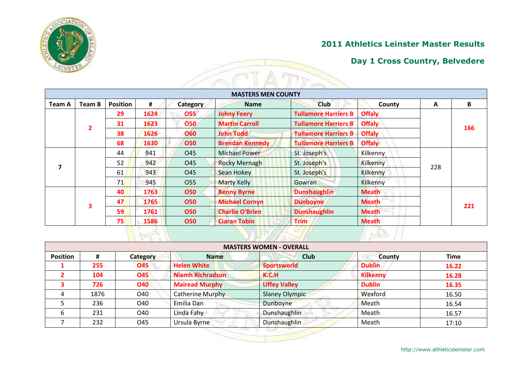

### **Day 1 Cross Country, Belvedere**

|               |                |                 |      |                 | <b>MASTERS MEN COUNTY</b> |                             |                 |     |     |
|---------------|----------------|-----------------|------|-----------------|---------------------------|-----------------------------|-----------------|-----|-----|
| <b>Team A</b> | Team B         | <b>Position</b> | #    | Category        | <b>Name</b>               | Club                        | County          | A   | B   |
|               |                | 29              | 1624 | 055             | <b>Johny Feery</b>        | <b>Tullamore Harriers B</b> | <b>Offaly</b>   |     |     |
|               | $\overline{2}$ | 31              | 1623 | <b>O50</b>      | <b>Martin Carroll</b>     | <b>Tullamore Harriers B</b> | <b>Offaly</b>   |     | 166 |
|               |                | 38              | 1626 | <b>O60</b>      | <b>John Todd</b>          | <b>Tullamore Harriers B</b> | <b>Offaly</b>   |     |     |
|               |                | 68              | 1630 | <b>O50</b>      | <b>Brendan Kennedy</b>    | <b>Tullamore Harriers B</b> | <b>Offaly</b>   |     |     |
|               |                | 44              | 941  | O45             | <b>Michael Power</b>      | St. Joseph's                | Kilkenny        |     |     |
|               |                | 52              | 942  | O45             | <b>Rocky Mernagh</b>      | St. Joseph's                | Kilkenny        | 228 |     |
|               |                | 61              | 943  | O <sub>45</sub> | Sean Hokey                | St. Joseph's                | Kilkenny        |     |     |
|               |                | 71              | 945  | <b>O55</b>      | <b>Marty Kelly</b>        | Gowran                      | <b>Kilkenny</b> |     |     |
|               |                | 40              | 1763 | <b>O50</b>      | <b>Benny Byrne</b>        | <b>Dunshaughlin</b>         | <b>Meath</b>    |     |     |
|               |                | 47              | 1765 | <b>O50</b>      | <b>Michael Cornyn</b>     | <b>Dunboyne</b>             | <b>Meath</b>    |     | 221 |
|               | 3              | 59              | 1761 | <b>O50</b>      | <b>Charlie O'Brien</b>    | <b>Dunshaughlin</b>         | <b>Meath</b>    |     |     |
|               |                | 75              | 1586 | <b>O50</b>      | <b>Ciaran Tobin</b>       | <b>Trim</b>                 | <b>Meath</b>    |     |     |

|                 |      |            |                         | <b>MASTERS WOMEN - OVERALL</b> |                 |             |
|-----------------|------|------------|-------------------------|--------------------------------|-----------------|-------------|
| <b>Position</b> | #    | Category   | <b>Name</b>             | <b>Club</b>                    | <b>County</b>   | <b>Time</b> |
|                 | 255  | <b>O45</b> | <b>Helen White</b>      | <b>Sportsworld</b>             | <b>Dublin</b>   | 16.22       |
|                 | 104  | <b>O45</b> | <b>Niamh Richradson</b> | <b>K.C.H</b>                   | <b>Kilkenny</b> | 16.28       |
|                 | 726  | <b>O40</b> | <b>Mairead Murphy</b>   | <b>Liffey Valley</b>           | <b>Dublin</b>   | 16.35       |
|                 | 1876 | O40        | Catherine Murphy        | <b>Slaney Olympic</b>          | Wexford         | 16.50       |
|                 | 236  | O40        | Emilia Dan              | Dunboyne                       | Meath           | 16.54       |
|                 | 231  | O40        | Linda Fahy              | Dunshaughlin                   | Meath           | 16.57       |
|                 | 232  | O45        | Ursula Byrne            | Dunshaughlin                   | Meath           | 17:10       |

http://www.athleticsleinster.com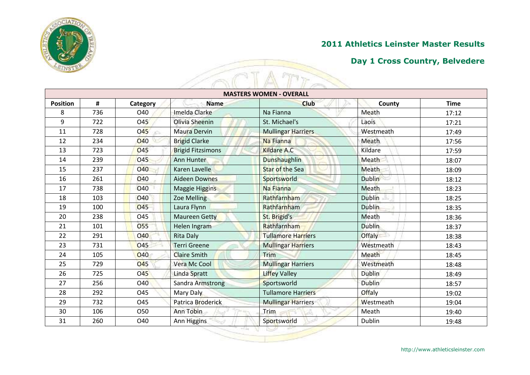

|                 |     |                  |                          | <b>MASTERS WOMEN - OVERALL</b> |               |             |
|-----------------|-----|------------------|--------------------------|--------------------------------|---------------|-------------|
| <b>Position</b> | #   | Category         | <b>Name</b>              | <b>Club</b>                    | County        | <b>Time</b> |
| 8               | 736 | O40              | Imelda Clarke            | Na Fianna                      | Meath         | 17:12       |
| 9               | 722 | O45              | Olivia Sheenin           | St. Michael's                  | Laois         | 17:21       |
| 11              | 728 | <b>045</b><br>ċ. | <b>Maura Dervin</b>      | <b>Mullingar Harriers</b>      | Westmeath     | 17:49       |
| 12              | 234 | <b>O40</b>       | <b>Brigid Clarke</b>     | Na Fianna                      | Meath         | 17:56       |
| 13              | 723 | <b>O45</b>       | <b>Brigid Fitzsimons</b> | <b>Kildare A.C.</b>            | Kildare       | 17:59       |
| 14              | 239 | 045              | Ann Hunter               | <b>Dunshaughlin</b>            | Meath         | 18:07       |
| 15              | 237 | <b>040</b>       | Karen Lavelle            | <b>Star of the Sea</b>         | Meath         | 18:09       |
| 16              | 261 | <b>O40</b>       | <b>Aideen Downes</b>     | Sportsworld                    | <b>Dublin</b> | 18:12       |
| 17              | 738 | <b>O40</b>       | <b>Maggie Higgins</b>    | Na Fianna                      | Meath         | 18:23       |
| 18              | 103 | <b>O40</b>       | <b>Zoe Melling</b>       | Rathfarnham                    | <b>Dublin</b> | 18:25       |
| 19              | 100 | <b>O45</b>       | Laura Flynn              | Rathfarnham                    | <b>Dublin</b> | 18:35       |
| 20              | 238 | <b>045</b>       | <b>Maureen Getty</b>     | St. Brigid's                   | Meath         | 18:36       |
| 21              | 101 | <b>O55</b>       | Helen Ingram             | Rathfarnham                    | <b>Dublin</b> | 18:37       |
| 22              | 291 | <b>O40</b>       | <b>Rita Daly</b>         | <b>Tullamore Harriers</b>      | Offaly        | 18:38       |
| 23              | 731 | O45              | <b>Terri Greene</b>      | <b>Mullingar Harriers</b>      | Westmeath     | 18:43       |
| 24              | 105 | O40              | <b>Claire Smith</b>      | <b>Trim</b>                    | Meath         | 18:45       |
| 25              | 729 | <b>045</b>       | Vera Mc Cool             | <b>Mullingar Harriers</b>      | Westmeath     | 18:48       |
| 26              | 725 | <b>O45</b>       | <b>Linda Spratt</b>      | <b>Liffey Valley</b>           | <b>Dublin</b> | 18:49       |
| 27              | 256 | O40              | <b>Sandra Armstrong</b>  | Sportsworld                    | <b>Dublin</b> | 18:57       |
| 28              | 292 | O45              | Mary Daly                | <b>Tullamore Harriers</b>      | Offaly        | 19:02       |
| 29              | 732 | O45              | Patrica Broderick        | <b>Mullingar Harriers</b>      | Westmeath     | 19:04       |
| 30              | 106 | O50              | Ann Tobin                | Trim                           | Meath         | 19:40       |
| 31              | 260 | O40              | Ann Higgins              | Sportsworld                    | Dublin        | 19:48       |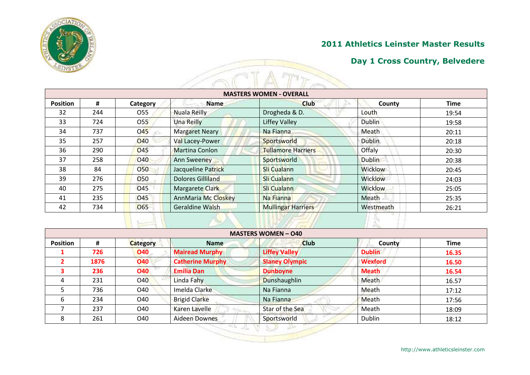

| <b>MASTERS WOMEN - OVERALL</b> |     |                 |                       |                           |                |             |  |  |
|--------------------------------|-----|-----------------|-----------------------|---------------------------|----------------|-------------|--|--|
| <b>Position</b>                | #   | Category        | <b>Name</b>           | <b>Club</b>               | County         | <b>Time</b> |  |  |
| 32                             | 244 | 055             | Nuala Reilly          | Drogheda & D.             | Louth          | 19:54       |  |  |
| 33                             | 724 | O55             | <b>Una Reilly</b>     | <b>Liffey Valley</b>      | Dublin         | 19:58       |  |  |
| 34                             | 737 | <b>O45</b>      | <b>Margaret Neary</b> | Na Fianna                 | Meath          | 20:11       |  |  |
| 35                             | 257 | <b>O40</b>      | Val Lacey-Power       | Sportsworld               | <b>Dublin</b>  | 20:18       |  |  |
| 36                             | 290 | O45             | Martina Conlon        | <b>Tullamore Harriers</b> | Offaly         | 20:30       |  |  |
| 37                             | 258 | <b>O40</b>      | Ann Sweeney           | Sportsworld               | <b>Dublin</b>  | 20:38       |  |  |
| 38                             | 84  | <b>O50</b>      | Jacqueline Patrick    | Sli Cualann               | <b>Wicklow</b> | 20:45       |  |  |
| 39                             | 276 | <b>O50</b>      | Dolores Gilliland     | Sli Cualann               | Wicklow        | 24:03       |  |  |
| 40                             | 275 | O <sub>45</sub> | Margarete Clark       | Sli Cualann               | <b>Wicklow</b> | 25:05       |  |  |
| 41                             | 235 | O45             | AnnMaria Mc Closkey   | Na Fianna                 | <b>Meath</b>   | 25:35       |  |  |
| 42                             | 734 | <b>O65</b>      | Geraldine Walsh       | <b>Mullingar Harriers</b> | Westmeath      | 26:21       |  |  |

|                 |      |                 |                         | <b>MASTERS WOMEN - 040</b> |                |             |
|-----------------|------|-----------------|-------------------------|----------------------------|----------------|-------------|
| <b>Position</b> | #    | <b>Category</b> | <b>Name</b>             | <b>Club</b>                | County         | <b>Time</b> |
|                 | 726  | <b>O40</b>      | <b>Mairead Murphy</b>   | <b>Liffey Valley</b>       | <b>Dublin</b>  | 16.35       |
|                 | 1876 | <b>O40</b>      | <b>Catherine Murphy</b> | <b>Slaney Olympic</b>      | <b>Wexford</b> | 16.50       |
|                 | 236  | <b>O40</b>      | <b>Emilia Dan</b>       | <b>Dunboyne</b>            | <b>Meath</b>   | 16.54       |
| 4               | 231  | <b>O40</b>      | Linda Fahy              | <b>Dunshaughlin</b>        | Meath          | 16.57       |
|                 | 736  | O40             | Imelda Clarke           | Na Fianna                  | Meath          | 17:12       |
| 6               | 234  | O40             | <b>Brigid Clarke</b>    | Na Fianna                  | Meath          | 17:56       |
|                 | 237  | O40             | Karen Lavelle           | Star of the Sea            | Meath          | 18:09       |
| 8               | 261  | O40             | <b>Aideen Downes</b>    | Sportsworld                | Dublin         | 18:12       |

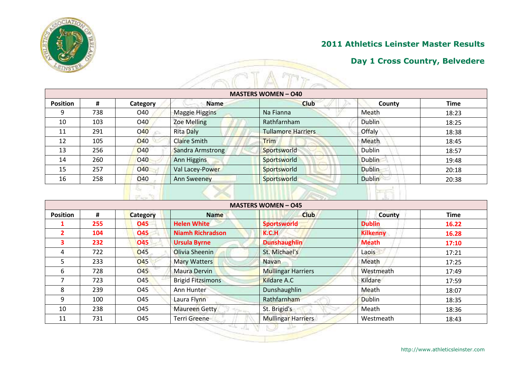

| <b>MASTERS WOMEN - 040</b> |     |            |                       |                           |               |             |  |  |
|----------------------------|-----|------------|-----------------------|---------------------------|---------------|-------------|--|--|
| <b>Position</b>            | #   | Category   | <b>Name</b>           | <b>Club</b>               | County        | <b>Time</b> |  |  |
| 9                          | 738 | O40        | <b>Maggie Higgins</b> | Na Fianna                 | Meath         | 18:23       |  |  |
| 10                         | 103 | O40        | <b>Zoe Melling</b>    | Rathfarnham               | Dublin        | 18:25       |  |  |
| 11                         | 291 | <b>O40</b> | <b>Rita Daly</b>      | <b>Tullamore Harriers</b> | Offaly        | 18:38       |  |  |
| 12                         | 105 | <b>040</b> | <b>Claire Smith</b>   | <b>Trim</b>               | Meath         | 18:45       |  |  |
| 13                         | 256 | O40        | Sandra Armstrong      | Sportsworld               | Dublin        | 18:57       |  |  |
| 14                         | 260 | <b>O40</b> | <b>Ann Higgins</b>    | Sportsworld               | <b>Dublin</b> | 19:48       |  |  |
| 15                         | 257 | <b>040</b> | Val Lacey-Power       | Sportsworld               | <b>Dublin</b> | 20:18       |  |  |
| 16                         | 258 | <b>O40</b> | Ann Sweeney           | Sportsworld               | <b>Dublin</b> | 20:38       |  |  |

| <b>MASTERS WOMEN - 045</b> |     |                 |                                   |                           |                 |             |  |  |  |
|----------------------------|-----|-----------------|-----------------------------------|---------------------------|-----------------|-------------|--|--|--|
| <b>Position</b><br>#       |     | <b>Category</b> | <b>Name</b>                       | <b>Club</b>               | <b>County</b>   | <b>Time</b> |  |  |  |
|                            | 255 | 045             | <b>Helen White</b>                | <b>Sportsworld</b>        | <b>Dublin</b>   | 16.22       |  |  |  |
| $\overline{2}$             | 104 | <b>O45</b>      | <b>Niamh Richradson</b>           | K.C.H                     | <b>Kilkenny</b> | 16.28       |  |  |  |
| 3                          | 232 | <b>O45</b>      | <b>Ursula Byrne</b>               | <b>Dunshaughlin</b>       | <b>Meath</b>    | 17:10       |  |  |  |
| 4                          | 722 | O <sub>45</sub> | Olivia Sheenin                    | St. Michael's             | Laois           | 17:21       |  |  |  |
| 5                          | 233 | <b>O45</b>      | Mary Watters                      | <b>Navan</b>              | Meath           | 17:25       |  |  |  |
| 6                          | 728 | <b>O45</b>      | <b>Maura Dervin</b>               | <b>Mullingar Harriers</b> | Westmeath       | 17:49       |  |  |  |
|                            | 723 | O <sub>45</sub> | <b>Brigid Fitzsimons</b>          | Kildare A.C               | Kildare         | 17:59       |  |  |  |
| 8                          | 239 | O45             | Ann Hunter                        | Dunshaughlin              | Meath           | 18:07       |  |  |  |
| 9                          | 100 | O45             | Laura Flynn                       | Rathfarnham               | <b>Dublin</b>   | 18:35       |  |  |  |
| 10                         | 238 | O45             | Maureen Getty<br><b>STAR LOOK</b> | St. Brigid's              | Meath           | 18:36       |  |  |  |
| 11                         | 731 | O45             | Terri Greene                      | <b>Mullingar Harriers</b> | Westmeath       | 18:43       |  |  |  |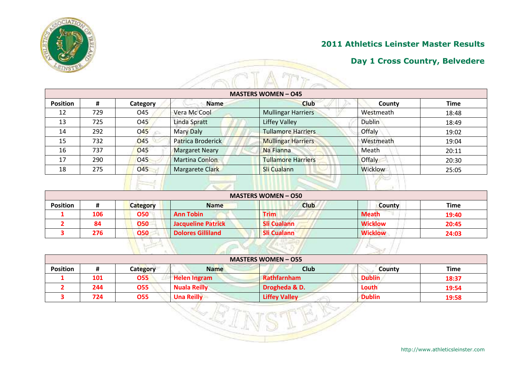

### **Day 1 Cross Country, Belvedere**

| <b>MASTERS WOMEN - 045</b> |     |                 |                       |                           |                |             |  |  |  |  |
|----------------------------|-----|-----------------|-----------------------|---------------------------|----------------|-------------|--|--|--|--|
| <b>Position</b>            | #   | Category        | <b>Name</b>           | <b>Club</b>               | County         | <b>Time</b> |  |  |  |  |
| 12                         | 729 | O45             | Vera Mc Cool          | <b>Mullingar Harriers</b> | Westmeath      | 18:48       |  |  |  |  |
| 13                         | 725 | O <sub>45</sub> | Linda Spratt          | Liffey Valley             | <b>Dublin</b>  | 18:49       |  |  |  |  |
| 14                         | 292 | <b>O45</b>      | <b>Mary Daly</b>      | <b>Tullamore Harriers</b> | Offaly         | 19:02       |  |  |  |  |
| 15                         | 732 | <b>045</b>      | Patrica Broderick     | <b>Mullingar Harriers</b> | Westmeath      | 19:04       |  |  |  |  |
| 16                         | 737 | O <sub>45</sub> | <b>Margaret Neary</b> | Na Fianna                 | Meath          | 20:11       |  |  |  |  |
| 17                         | 290 | O45             | <b>Martina Conlon</b> | <b>Tullamore Harriers</b> | <b>Offaly</b>  | 20:30       |  |  |  |  |
| 18                         | 275 | <b>045</b>      | Margarete Clark       | Sli Cualann               | <b>Wicklow</b> | 25:05       |  |  |  |  |

| <b>Position</b> | #   | <b>Category</b> | <b>Name</b>               | <b>Club</b>        | <b>County</b>  | <b>Time</b> |
|-----------------|-----|-----------------|---------------------------|--------------------|----------------|-------------|
|                 | 106 | <b>O50</b>      | <b>Ann Tobin</b>          | <b>Trim</b>        | <b>Meath</b>   | 19:40       |
|                 | 84  | <b>O50</b>      | <b>Jacqueline Patrick</b> | <b>Sli Cualann</b> | <b>Wicklow</b> | 20:45       |
|                 | 276 | 050             | <b>Dolores Gilliland</b>  | <b>Sli Cualann</b> | <b>Wicklow</b> | 24:03       |

| <b>MASTERS WOMEN - 055</b> |     |                 |                     |                      |               |             |  |  |  |  |
|----------------------------|-----|-----------------|---------------------|----------------------|---------------|-------------|--|--|--|--|
| <b>Position</b>            |     | <b>Category</b> | <b>Name</b>         | <b>Club</b>          | County        | <b>Time</b> |  |  |  |  |
|                            | 101 | 055             | <b>Helen Ingram</b> | Rathfarnham          | <b>Dublin</b> | 18:37       |  |  |  |  |
|                            | 244 | 055             | <b>Nuala Reilly</b> | Drogheda & D.        | Louth         | 19:54       |  |  |  |  |
|                            | 724 | 055             | <b>Una Reilly</b>   | <b>Liffey Valley</b> | <b>Dublin</b> | 19:58       |  |  |  |  |

EE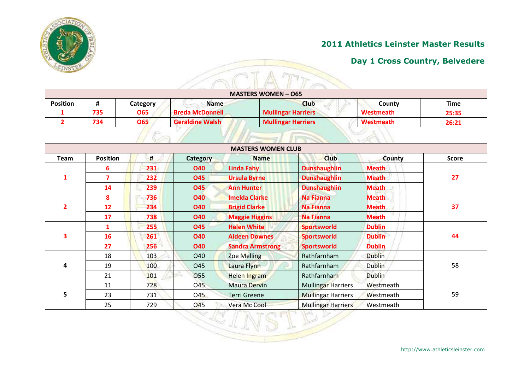

|                 |     |            |                        | <b>MASTERS WOMEN - 065</b> |                  |             |
|-----------------|-----|------------|------------------------|----------------------------|------------------|-------------|
| <b>Position</b> | #   | Category   | <b>Name</b>            | <b>Club</b>                | County           | <b>Time</b> |
|                 | 735 | <b>O65</b> | <b>Breda McDonnell</b> | <b>Mullingar Harriers</b>  | <b>Westmeath</b> | 25:35       |
|                 | 734 | <b>O65</b> | <b>Geraldine Walsh</b> | <b>Mullingar Harriers</b>  | Westmeath        | 26:21       |

|                |                 |     |                 | <b>MASTERS WOMEN CLUB</b> |                           |               |              |
|----------------|-----------------|-----|-----------------|---------------------------|---------------------------|---------------|--------------|
| Team           | <b>Position</b> | #   | <b>Category</b> | <b>Name</b>               | <b>Club</b>               | <b>County</b> | <b>Score</b> |
|                | 6               | 231 | <b>O40</b>      | <b>Linda Fahy</b>         | <b>Dunshaughlin</b>       | <b>Meath</b>  |              |
| $\mathbf{1}$   | $\overline{7}$  | 232 | <b>O45</b>      | <b>Ursula Byrne</b>       | <b>Dunshaughlin</b>       | <b>Meath</b>  | 27           |
|                | 14              | 239 | <b>O45</b>      | <b>Ann Hunter</b>         | <b>Dunshaughlin</b>       | <b>Meath</b>  |              |
|                | 8               | 736 | <b>O40</b>      | <b>Imelda Clarke</b>      | <b>Na Fianna</b>          | <b>Meath</b>  | 37           |
| $\overline{2}$ | 12              | 234 | <b>O40</b>      | <b>Brigid Clarke</b>      | <b>Na Fianna</b>          | <b>Meath</b>  |              |
|                | 17              | 738 | <b>O40</b>      | <b>Maggie Higgins</b>     | <b>Na Fianna</b>          | <b>Meath</b>  |              |
| 3              | 1               | 255 | <b>O45</b>      | <b>Helen White</b>        | <b>Sportsworld</b>        | <b>Dublin</b> |              |
|                | 16              | 261 | <b>O40</b>      | <b>Aideen Downes</b>      | <b>Sportsworld</b>        | <b>Dublin</b> | 44           |
|                | 27              | 256 | <b>O40</b>      | <b>Sandra Armstrong</b>   | <b>Sportsworld</b>        | <b>Dublin</b> |              |
|                | 18              | 103 | O40             | <b>Zoe Melling</b>        | Rathfarnham               | <b>Dublin</b> | 58           |
| 4              | 19              | 100 | O45             | Laura Flynn               | Rathfarnham               | <b>Dublin</b> |              |
|                | 21              | 101 | 055<br>÷.       | Helen Ingram              | Rathfarnham               | <b>Dublin</b> |              |
|                | 11              | 728 | O45             | <b>Maura Dervin</b>       | <b>Mullingar Harriers</b> | Westmeath     |              |
| 5              | 23              | 731 | O45             | <b>Terri Greene</b>       | <b>Mullingar Harriers</b> | Westmeath     | 59           |
|                | 25              | 729 | 045             | Vera Mc Cool              | <b>Mullingar Harriers</b> | Westmeath     |              |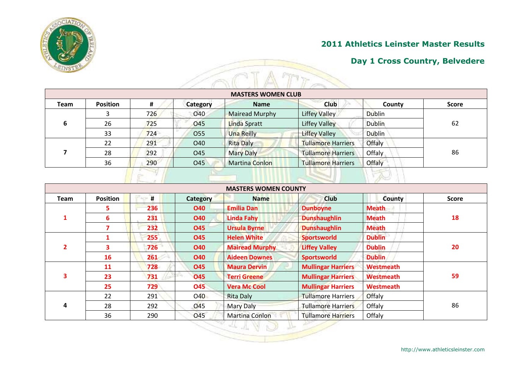

| <b>MASTERS WOMEN CLUB</b> |                 |     |                 |                       |                           |               |              |  |  |
|---------------------------|-----------------|-----|-----------------|-----------------------|---------------------------|---------------|--------------|--|--|
| Team                      | <b>Position</b> | #   | <b>Category</b> | <b>Name</b>           | <b>Club</b>               | County        | <b>Score</b> |  |  |
|                           | 3               | 726 | 040             | <b>Mairead Murphy</b> | <b>Liffey Valley</b>      | <b>Dublin</b> | 62<br>86     |  |  |
| 6                         | 26              | 725 | O45             | <b>Linda Spratt</b>   | <b>Liffey Valley</b>      | <b>Dublin</b> |              |  |  |
|                           | 33              | 724 | O <sub>55</sub> | <b>Una Reilly</b>     | Liffey Valley             | <b>Dublin</b> |              |  |  |
|                           | 22              | 291 | O40             | <b>Rita Daly</b>      | <b>Tullamore Harriers</b> | Offaly        |              |  |  |
|                           | 28              | 292 | O45             | <b>Mary Daly</b>      | <b>Tullamore Harriers</b> | Offaly        |              |  |  |
|                           | 36              | 290 | O45             | <b>Martina Conlon</b> | <b>Tullamore Harriers</b> | Offaly        |              |  |  |

|                |                 |     |            | <b>MASTERS WOMEN COUNTY</b> |                           |                  |              |
|----------------|-----------------|-----|------------|-----------------------------|---------------------------|------------------|--------------|
| <b>Team</b>    | <b>Position</b> | #   | Category   | <b>Name</b>                 | <b>Club</b>               | County           | <b>Score</b> |
|                | 5.              | 236 | <b>O40</b> | <b>Emilia Dan</b>           | <b>Dunboyne</b>           | <b>Meath</b>     |              |
|                | 6               | 231 | <b>O40</b> | <b>Linda Fahy</b>           | <b>Dunshaughlin</b>       | <b>Meath</b>     | 18           |
|                | 7               | 232 | <b>O45</b> | <b>Ursula Byrne</b>         | <b>Dunshaughlin</b>       | <b>Meath</b>     |              |
|                |                 | 255 | <b>O45</b> | <b>Helen White</b>          | <b>Sportsworld</b>        | <b>Dublin</b>    | 20           |
| $\overline{2}$ | 3               | 726 | <b>O40</b> | <b>Mairead Murphy</b>       | <b>Liffey Valley</b>      | <b>Dublin</b>    |              |
|                | 16              | 261 | <b>O40</b> | <b>Aideen Downes</b>        | <b>Sportsworld</b>        | <b>Dublin</b>    |              |
|                | 11              | 728 | <b>O45</b> | <b>Maura Dervin</b>         | <b>Mullingar Harriers</b> | Westmeath        | 59           |
| 3              | 23              | 731 | <b>O45</b> | <b>Terri Greene</b>         | <b>Mullingar Harriers</b> | <b>Westmeath</b> |              |
|                | 25              | 729 | <b>O45</b> | <b>Vera Mc Cool</b>         | <b>Mullingar Harriers</b> | Westmeath        |              |
|                | 22              | 291 | 040        | <b>Rita Daly</b>            | <b>Tullamore Harriers</b> | Offaly           |              |
| 4              | 28              | 292 | 045        | Mary Daly                   | <b>Tullamore Harriers</b> | Offaly           | 86           |
|                | 36              | 290 | <b>O45</b> | <b>Martina Conlon</b>       | <b>Tullamore Harriers</b> | Offaly           |              |